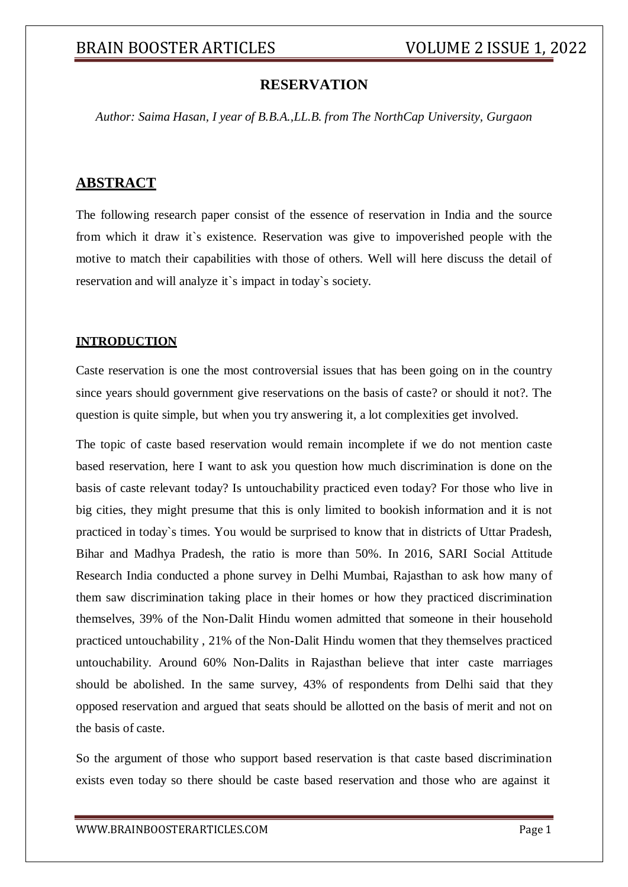## **RESERVATION**

*Author: Saima Hasan, I year of B.B.A.,LL.B. from The NorthCap University, Gurgaon*

## **ABSTRACT**

The following research paper consist of the essence of reservation in India and the source from which it draw it`s existence. Reservation was give to impoverished people with the motive to match their capabilities with those of others. Well will here discuss the detail of reservation and will analyze it`s impact in today`s society.

### **INTRODUCTION**

Caste reservation is one the most controversial issues that has been going on in the country since years should government give reservations on the basis of caste? or should it not?. The question is quite simple, but when you try answering it, a lot complexities get involved.

The topic of caste based reservation would remain incomplete if we do not mention caste based reservation, here I want to ask you question how much discrimination is done on the basis of caste relevant today? Is untouchability practiced even today? For those who live in big cities, they might presume that this is only limited to bookish information and it is not practiced in today`s times. You would be surprised to know that in districts of Uttar Pradesh, Bihar and Madhya Pradesh, the ratio is more than 50%. In 2016, SARI Social Attitude Research India conducted a phone survey in Delhi Mumbai, Rajasthan to ask how many of them saw discrimination taking place in their homes or how they practiced discrimination themselves, 39% of the Non-Dalit Hindu women admitted that someone in their household practiced untouchability , 21% of the Non-Dalit Hindu women that they themselves practiced untouchability. Around 60% Non-Dalits in Rajasthan believe that inter caste marriages should be abolished. In the same survey, 43% of respondents from Delhi said that they opposed reservation and argued that seats should be allotted on the basis of merit and not on the basis of caste.

So the argument of those who support based reservation is that caste based discrimination exists even today so there should be caste based reservation and those who are against it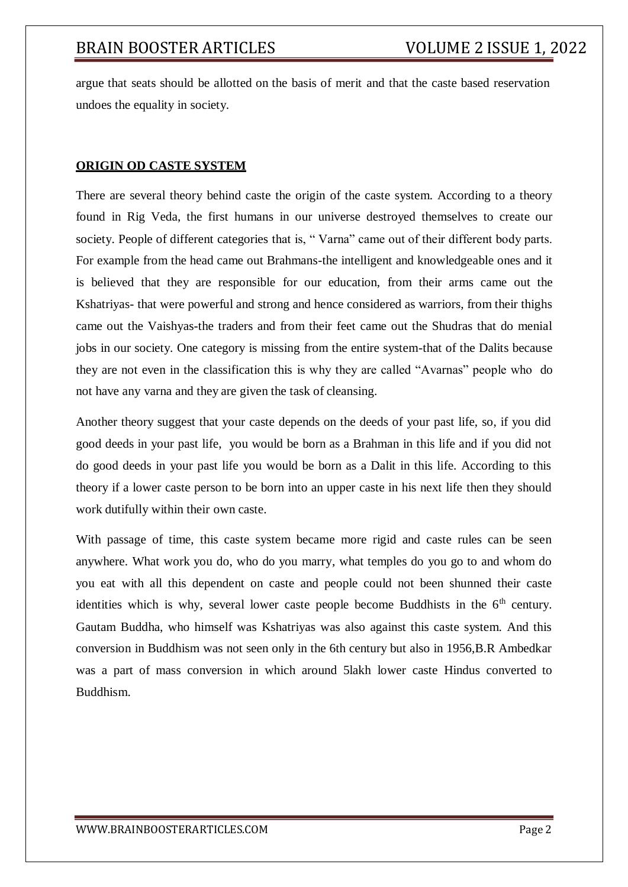argue that seats should be allotted on the basis of merit and that the caste based reservation undoes the equality in society.

### **ORIGIN OD CASTE SYSTEM**

There are several theory behind caste the origin of the caste system. According to a theory found in Rig Veda, the first humans in our universe destroyed themselves to create our society. People of different categories that is, " Varna" came out of their different body parts. For example from the head came out Brahmans-the intelligent and knowledgeable ones and it is believed that they are responsible for our education, from their arms came out the Kshatriyas- that were powerful and strong and hence considered as warriors, from their thighs came out the Vaishyas-the traders and from their feet came out the Shudras that do menial jobs in our society. One category is missing from the entire system-that of the Dalits because they are not even in the classification this is why they are called "Avarnas" people who do not have any varna and they are given the task of cleansing.

Another theory suggest that your caste depends on the deeds of your past life, so, if you did good deeds in your past life, you would be born as a Brahman in this life and if you did not do good deeds in your past life you would be born as a Dalit in this life. According to this theory if a lower caste person to be born into an upper caste in his next life then they should work dutifully within their own caste.

With passage of time, this caste system became more rigid and caste rules can be seen anywhere. What work you do, who do you marry, what temples do you go to and whom do you eat with all this dependent on caste and people could not been shunned their caste identities which is why, several lower caste people become Buddhists in the  $6<sup>th</sup>$  century. Gautam Buddha, who himself was Kshatriyas was also against this caste system. And this conversion in Buddhism was not seen only in the 6th century but also in 1956,B.R Ambedkar was a part of mass conversion in which around 5lakh lower caste Hindus converted to Buddhism.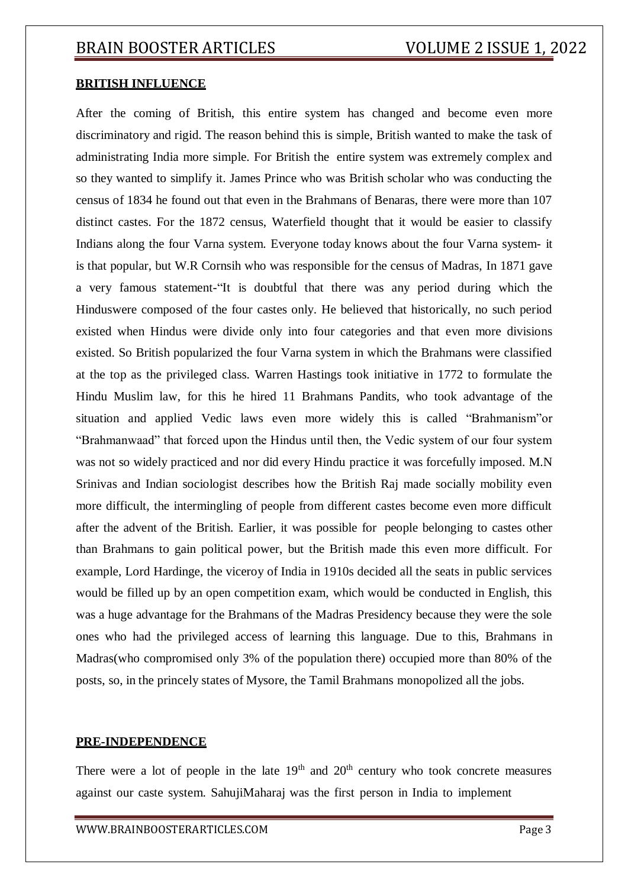### **BRITISH INFLUENCE**

After the coming of British, this entire system has changed and become even more discriminatory and rigid. The reason behind this is simple, British wanted to make the task of administrating India more simple. For British the entire system was extremely complex and so they wanted to simplify it. James Prince who was British scholar who was conducting the census of 1834 he found out that even in the Brahmans of Benaras, there were more than 107 distinct castes. For the 1872 census, Waterfield thought that it would be easier to classify Indians along the four Varna system. Everyone today knows about the four Varna system- it is that popular, but W.R Cornsih who was responsible for the census of Madras, In 1871 gave a very famous statement-"It is doubtful that there was any period during which the Hinduswere composed of the four castes only. He believed that historically, no such period existed when Hindus were divide only into four categories and that even more divisions existed. So British popularized the four Varna system in which the Brahmans were classified at the top as the privileged class. Warren Hastings took initiative in 1772 to formulate the Hindu Muslim law, for this he hired 11 Brahmans Pandits, who took advantage of the situation and applied Vedic laws even more widely this is called "Brahmanism"or "Brahmanwaad" that forced upon the Hindus until then, the Vedic system of our four system was not so widely practiced and nor did every Hindu practice it was forcefully imposed. M.N Srinivas and Indian sociologist describes how the British Raj made socially mobility even more difficult, the intermingling of people from different castes become even more difficult after the advent of the British. Earlier, it was possible for people belonging to castes other than Brahmans to gain political power, but the British made this even more difficult. For example, Lord Hardinge, the viceroy of India in 1910s decided all the seats in public services would be filled up by an open competition exam, which would be conducted in English, this was a huge advantage for the Brahmans of the Madras Presidency because they were the sole ones who had the privileged access of learning this language. Due to this, Brahmans in Madras(who compromised only 3% of the population there) occupied more than 80% of the posts, so, in the princely states of Mysore, the Tamil Brahmans monopolized all the jobs.

### **PRE-INDEPENDENCE**

There were a lot of people in the late  $19<sup>th</sup>$  and  $20<sup>th</sup>$  century who took concrete measures against our caste system. SahujiMaharaj was the first person in India to implement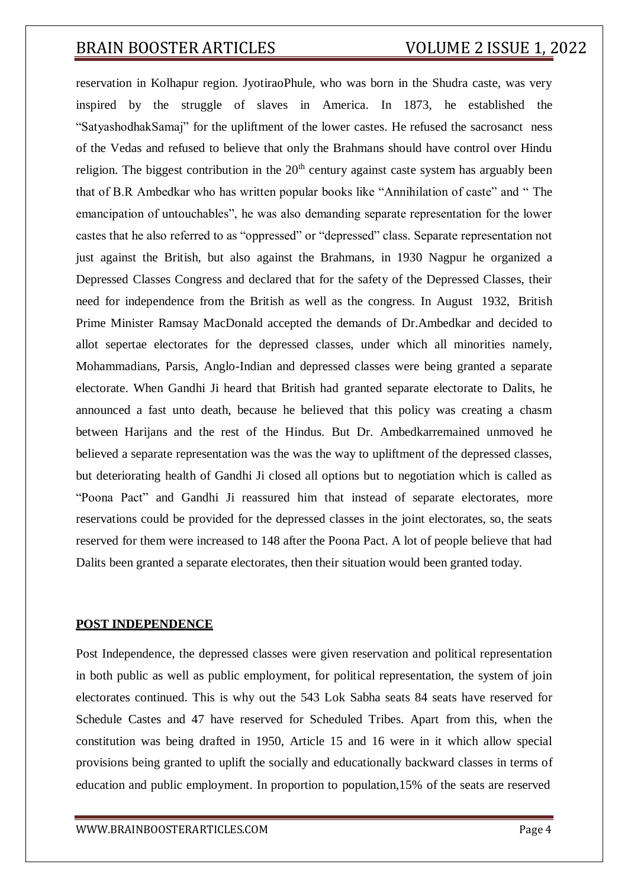## BRAIN BOOSTER ARTICLES VOLUME 2 ISSUE 1, 2022

reservation in Kolhapur region. JyotiraoPhule, who was born in the Shudra caste, was very inspired by the struggle of slaves in America. In 1873, he established the "SatyashodhakSamaj" for the upliftment of the lower castes. He refused the sacrosanct ness of the Vedas and refused to believe that only the Brahmans should have control over Hindu religion. The biggest contribution in the  $20<sup>th</sup>$  century against caste system has arguably been that of B.R Ambedkar who has written popular books like "Annihilation of caste" and " The emancipation of untouchables", he was also demanding separate representation for the lower castes that he also referred to as "oppressed" or "depressed" class. Separate representation not just against the British, but also against the Brahmans, in 1930 Nagpur he organized a Depressed Classes Congress and declared that for the safety of the Depressed Classes, their need for independence from the British as well as the congress. In August 1932, British Prime Minister Ramsay MacDonald accepted the demands of Dr.Ambedkar and decided to allot sepertae electorates for the depressed classes, under which all minorities namely, Mohammadians, Parsis, Anglo-Indian and depressed classes were being granted a separate electorate. When Gandhi Ji heard that British had granted separate electorate to Dalits, he announced a fast unto death, because he believed that this policy was creating a chasm between Harijans and the rest of the Hindus. But Dr. Ambedkarremained unmoved he believed a separate representation was the was the way to upliftment of the depressed classes, but deteriorating health of Gandhi Ji closed all options but to negotiation which is called as "Poona Pact" and Gandhi Ji reassured him that instead of separate electorates, more reservations could be provided for the depressed classes in the joint electorates, so, the seats reserved for them were increased to 148 after the Poona Pact. A lot of people believe that had Dalits been granted a separate electorates, then their situation would been granted today.

### **POST INDEPENDENCE**

Post Independence, the depressed classes were given reservation and political representation in both public as well as public employment, for political representation, the system of join electorates continued. This is why out the 543 Lok Sabha seats 84 seats have reserved for Schedule Castes and 47 have reserved for Scheduled Tribes. Apart from this, when the constitution was being drafted in 1950, Article 15 and 16 were in it which allow special provisions being granted to uplift the socially and educationally backward classes in terms of education and public employment. In proportion to population,15% of the seats are reserved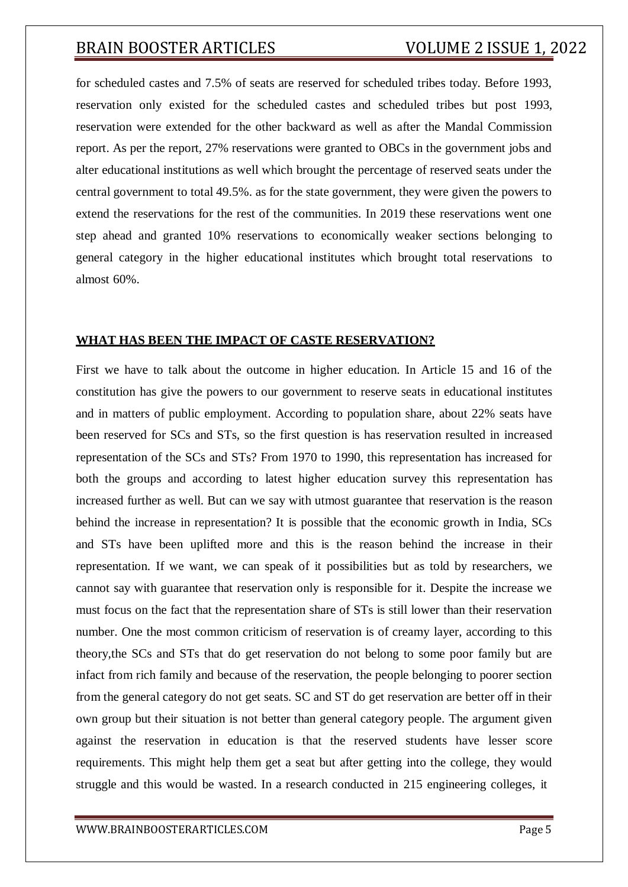# BRAIN BOOSTER ARTICLES VOLUME 2 ISSUE 1, 2022

for scheduled castes and 7.5% of seats are reserved for scheduled tribes today. Before 1993, reservation only existed for the scheduled castes and scheduled tribes but post 1993, reservation were extended for the other backward as well as after the Mandal Commission report. As per the report, 27% reservations were granted to OBCs in the government jobs and alter educational institutions as well which brought the percentage of reserved seats under the central government to total 49.5%. as for the state government, they were given the powers to extend the reservations for the rest of the communities. In 2019 these reservations went one step ahead and granted 10% reservations to economically weaker sections belonging to general category in the higher educational institutes which brought total reservations to almost 60%.

### **WHAT HAS BEEN THE IMPACT OF CASTE RESERVATION?**

First we have to talk about the outcome in higher education. In Article 15 and 16 of the constitution has give the powers to our government to reserve seats in educational institutes and in matters of public employment. According to population share, about 22% seats have been reserved for SCs and STs, so the first question is has reservation resulted in increased representation of the SCs and STs? From 1970 to 1990, this representation has increased for both the groups and according to latest higher education survey this representation has increased further as well. But can we say with utmost guarantee that reservation is the reason behind the increase in representation? It is possible that the economic growth in India, SCs and STs have been uplifted more and this is the reason behind the increase in their representation. If we want, we can speak of it possibilities but as told by researchers, we cannot say with guarantee that reservation only is responsible for it. Despite the increase we must focus on the fact that the representation share of STs is still lower than their reservation number. One the most common criticism of reservation is of creamy layer, according to this theory,the SCs and STs that do get reservation do not belong to some poor family but are infact from rich family and because of the reservation, the people belonging to poorer section from the general category do not get seats. SC and ST do get reservation are better off in their own group but their situation is not better than general category people. The argument given against the reservation in education is that the reserved students have lesser score requirements. This might help them get a seat but after getting into the college, they would struggle and this would be wasted. In a research conducted in 215 engineering colleges, it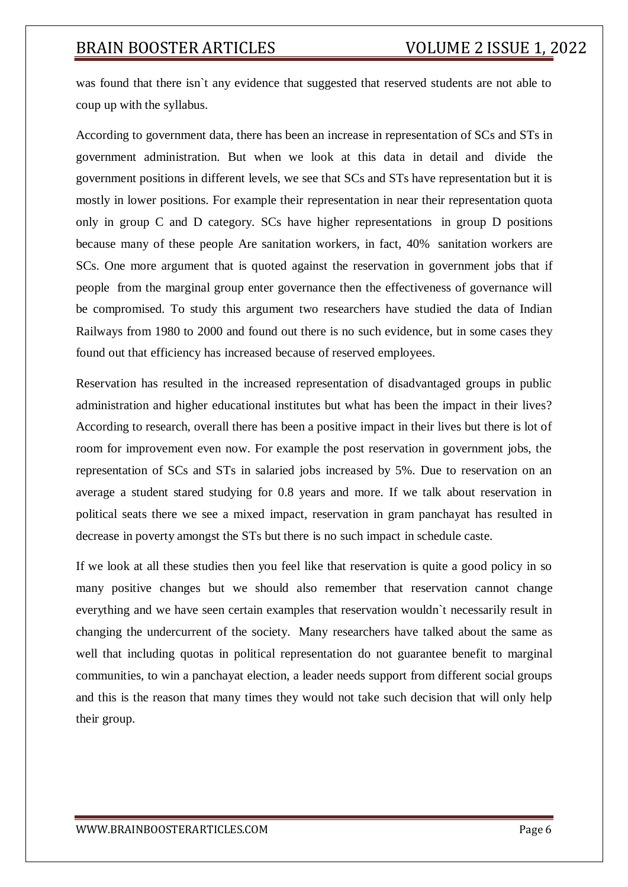# BRAIN BOOSTER ARTICLES VOLUME 2 ISSUE 1, 2022

was found that there isn`t any evidence that suggested that reserved students are not able to coup up with the syllabus.

According to government data, there has been an increase in representation of SCs and STs in government administration. But when we look at this data in detail and divide the government positions in different levels, we see that SCs and STs have representation but it is mostly in lower positions. For example their representation in near their representation quota only in group C and D category. SCs have higher representations in group D positions because many of these people Are sanitation workers, in fact, 40% sanitation workers are SCs. One more argument that is quoted against the reservation in government jobs that if people from the marginal group enter governance then the effectiveness of governance will be compromised. To study this argument two researchers have studied the data of Indian Railways from 1980 to 2000 and found out there is no such evidence, but in some cases they found out that efficiency has increased because of reserved employees.

Reservation has resulted in the increased representation of disadvantaged groups in public administration and higher educational institutes but what has been the impact in their lives? According to research, overall there has been a positive impact in their lives but there is lot of room for improvement even now. For example the post reservation in government jobs, the representation of SCs and STs in salaried jobs increased by 5%. Due to reservation on an average a student stared studying for 0.8 years and more. If we talk about reservation in political seats there we see a mixed impact, reservation in gram panchayat has resulted in decrease in poverty amongst the STs but there is no such impact in schedule caste.

If we look at all these studies then you feel like that reservation is quite a good policy in so many positive changes but we should also remember that reservation cannot change everything and we have seen certain examples that reservation wouldn`t necessarily result in changing the undercurrent of the society. Many researchers have talked about the same as well that including quotas in political representation do not guarantee benefit to marginal communities, to win a panchayat election, a leader needs support from different social groups and this is the reason that many times they would not take such decision that will only help their group.